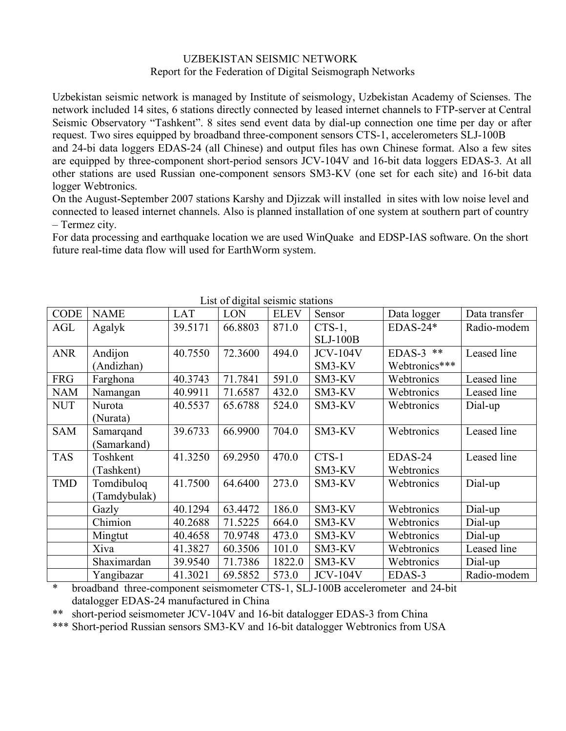## UZBEKISTAN SEISMIC NETWORK Report for the Federation of Digital Seismograph Networks

Uzbekistan seismic network is managed by Institute of seismology, Uzbekistan Academy of Scienses. The network included 14 sites, 6 stations directly connected by leased internet channels to FTP-server at Central Seismic Observatory "Tashkent". 8 sites send event data by dial-up connection one time per day or after request. Two sires equipped by broadband three-component sensors CTS-1, accelerometers SLJ-100B

and 24-bi data loggers EDAS-24 (all Chinese) and output files has own Chinese format. Also a few sites are equipped by three-component short-period sensors JCV-104V and 16-bit data loggers EDAS-3. At all other stations are used Russian one-component sensors SM3-KV (one set for each site) and 16-bit data logger Webtronics.

On the August-September 2007 stations Karshy and Djizzak will installed in sites with low noise level and connected to leased internet channels. Also is planned installation of one system at southern part of country – Termez city.

For data processing and earthquake location we are used WinQuake and EDSP-IAS software. On the short future real-time data flow will used for EarthWorm system.

| List of digital seismic stations |              |            |         |             |                 |               |               |
|----------------------------------|--------------|------------|---------|-------------|-----------------|---------------|---------------|
| <b>CODE</b>                      | <b>NAME</b>  | <b>LAT</b> | LON     | <b>ELEV</b> | Sensor          | Data logger   | Data transfer |
| AGL                              | Agalyk       | 39.5171    | 66.8803 | 871.0       | $CTS-1$ ,       | $EDAS-24*$    | Radio-modem   |
|                                  |              |            |         |             | <b>SLJ-100B</b> |               |               |
| <b>ANR</b>                       | Andijon      | 40.7550    | 72.3600 | 494.0       | <b>JCV-104V</b> | EDAS-3 $**$   | Leased line   |
|                                  | (Andizhan)   |            |         |             | SM3-KV          | Webtronics*** |               |
| <b>FRG</b>                       | Farghona     | 40.3743    | 71.7841 | 591.0       | SM3-KV          | Webtronics    | Leased line   |
| <b>NAM</b>                       | Namangan     | 40.9911    | 71.6587 | 432.0       | SM3-KV          | Webtronics    | Leased line   |
| <b>NUT</b>                       | Nurota       | 40.5537    | 65.6788 | 524.0       | SM3-KV          | Webtronics    | Dial-up       |
|                                  | (Nurata)     |            |         |             |                 |               |               |
| <b>SAM</b>                       | Samarqand    | 39.6733    | 66.9900 | 704.0       | SM3-KV          | Webtronics    | Leased line   |
|                                  | (Samarkand)  |            |         |             |                 |               |               |
| <b>TAS</b>                       | Toshkent     | 41.3250    | 69.2950 | 470.0       | CTS-1           | EDAS-24       | Leased line   |
|                                  | (Tashkent)   |            |         |             | SM3-KV          | Webtronics    |               |
| <b>TMD</b>                       | Tomdibuloq   | 41.7500    | 64.6400 | 273.0       | SM3-KV          | Webtronics    | Dial-up       |
|                                  | (Tamdybulak) |            |         |             |                 |               |               |
|                                  | Gazly        | 40.1294    | 63.4472 | 186.0       | SM3-KV          | Webtronics    | Dial-up       |
|                                  | Chimion      | 40.2688    | 71.5225 | 664.0       | SM3-KV          | Webtronics    | Dial-up       |
|                                  | Mingtut      | 40.4658    | 70.9748 | 473.0       | SM3-KV          | Webtronics    | Dial-up       |
|                                  | Xiva         | 41.3827    | 60.3506 | 101.0       | SM3-KV          | Webtronics    | Leased line   |
|                                  | Shaximardan  | 39.9540    | 71.7386 | 1822.0      | SM3-KV          | Webtronics    | Dial-up       |
|                                  | Yangibazar   | 41.3021    | 69.5852 | 573.0       | <b>JCV-104V</b> | EDAS-3        | Radio-modem   |

List of digital seismic stations

broadband three-component seismometer CTS-1, SLJ-100B accelerometer and 24-bit datalogger EDAS-24 manufactured in China

\*\* short-period seismometer JCV-104V and 16-bit datalogger EDAS-3 from China

\*\*\* Short-period Russian sensors SM3-KV and 16-bit datalogger Webtronics from USA